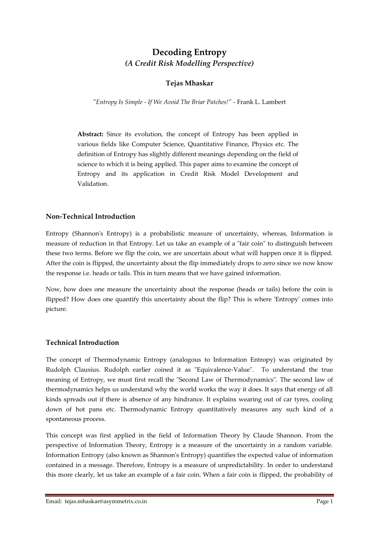# **Decoding Entropy** *(A Credit Risk Modelling Perspective)*

# **Tejas Mhaskar**

*"Entropy Is Simple - If We Avoid The Briar Patches!"* - Frank L. Lambert

**Abstract:** Since its evolution, the concept of Entropy has been applied in various fields like Computer Science, Quantitative Finance, Physics etc. The definition of Entropy has slightly different meanings depending on the field of science to which it is being applied. This paper aims to examine the concept of Entropy and its application in Credit Risk Model Development and Validation.

### **Non-Technical Introduction**

Entropy (Shannon's Entropy) is a probabilistic measure of uncertainty, whereas, Information is measure of reduction in that Entropy. Let us take an example of a "fair coin" to distinguish between these two terms. Before we flip the coin, we are uncertain about what will happen once it is flipped. After the coin is flipped, the uncertainty about the flip immediately drops to zero since we now know the response i.e. heads or tails. This in turn means that we have gained information.

Now, how does one measure the uncertainty about the response (heads or tails) before the coin is flipped? How does one quantify this uncertainty about the flip? This is where 'Entropy' comes into picture.

# **Technical Introduction**

The concept of Thermodynamic Entropy (analogous to Information Entropy) was originated by Rudolph Clausius. Rudolph earlier coined it as "Equivalence-Value". To understand the true meaning of Entropy, we must first recall the "Second Law of Thermodynamics". The second law of thermodynamics helps us understand why the world works the way it does. It says that energy of all kinds spreads out if there is absence of any hindrance. It explains wearing out of car tyres, cooling down of hot pans etc. Thermodynamic Entropy quantitatively measures any such kind of a spontaneous process.

This concept was first applied in the field of Information Theory by Claude Shannon. From the perspective of Information Theory, Entropy is a measure of the uncertainty in a random variable. Information Entropy (also known as Shannon's Entropy) quantifies the expected value of information contained in a message. Therefore, Entropy is a measure of unpredictability. In order to understand this more clearly, let us take an example of a fair coin. When a fair coin is flipped, the probability of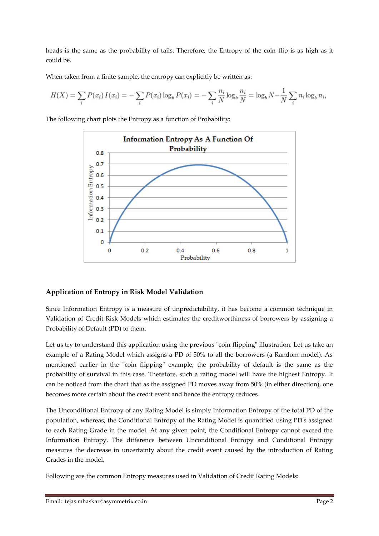heads is the same as the probability of tails. Therefore, the Entropy of the coin flip is as high as it could be.

When taken from a finite sample, the entropy can explicitly be written as:

$$
H(X) = \sum_{i} P(x_i) I(x_i) = -\sum_{i} P(x_i) \log_b P(x_i) = -\sum_{i} \frac{n_i}{N} \log_b \frac{n_i}{N} = \log_b N - \frac{1}{N} \sum_{i} n_i \log_b n_i,
$$

The following chart plots the Entropy as a function of Probability:



### **Application of Entropy in Risk Model Validation**

Since Information Entropy is a measure of unpredictability, it has become a common technique in Validation of Credit Risk Models which estimates the creditworthiness of borrowers by assigning a Probability of Default (PD) to them.

Let us try to understand this application using the previous "coin flipping" illustration. Let us take an example of a Rating Model which assigns a PD of 50% to all the borrowers (a Random model). As mentioned earlier in the "coin flipping" example, the probability of default is the same as the probability of survival in this case. Therefore, such a rating model will have the highest Entropy. It can be noticed from the chart that as the assigned PD moves away from 50% (in either direction), one becomes more certain about the credit event and hence the entropy reduces.

The Unconditional Entropy of any Rating Model is simply Information Entropy of the total PD of the population, whereas, the Conditional Entropy of the Rating Model is quantified using PD's assigned to each Rating Grade in the model. At any given point, the Conditional Entropy cannot exceed the Information Entropy. The difference between Unconditional Entropy and Conditional Entropy measures the decrease in uncertainty about the credit event caused by the introduction of Rating Grades in the model.

Following are the common Entropy measures used in Validation of Credit Rating Models: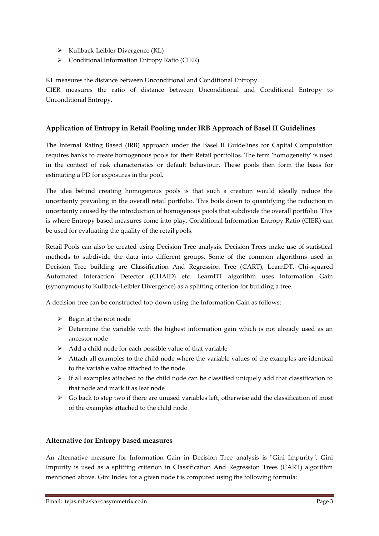- $\triangleright$  Kullback-Leibler Divergence (KL)
- Conditional Information Entropy Ratio (CIER)

KL measures the distance between Unconditional and Conditional Entropy.

CIER measures the ratio of distance between Unconditional and Conditional Entropy to Unconditional Entropy.

## **Application of Entropy in Retail Pooling under IRB Approach of Basel II Guidelines**

The Internal Rating Based (IRB) approach under the Basel II Guidelines for Capital Computation requires banks to create homogenous pools for their Retail portfolios. The term 'homogeneity' is used in the context of risk characteristics or default behaviour. These pools then form the basis for estimating a PD for exposures in the pool.

The idea behind creating homogenous pools is that such a creation would ideally reduce the uncertainty prevailing in the overall retail portfolio. This boils down to quantifying the reduction in uncertainty caused by the introduction of homogenous pools that subdivide the overall portfolio. This is where Entropy based measures come into play. Conditional Information Entropy Ratio (CIER) can be used for evaluating the quality of the retail pools.

Retail Pools can also be created using Decision Tree analysis. Decision Trees make use of statistical methods to subdivide the data into different groups. Some of the common algorithms used in Decision Tree building are Classification And Regression Tree (CART), LearnDT, Chi-squared Automated Interaction Detector (CHAID) etc. LearnDT algorithm uses Information Gain (synonymous to Kullback-Leibler Divergence) as a splitting criterion for building a tree.

A decision tree can be constructed top-down using the Information Gain as follows:

- $\triangleright$  Begin at the root node
- $\triangleright$  Determine the variable with the highest information gain which is not already used as an ancestor node
- $\triangleright$  Add a child node for each possible value of that variable
- $\triangleright$  Attach all examples to the child node where the variable values of the examples are identical to the variable value attached to the node
- $\triangleright$  If all examples attached to the child node can be classified uniquely add that classification to that node and mark it as leaf node
- $\triangleright$  Go back to step two if there are unused variables left, otherwise add the classification of most of the examples attached to the child node

### **Alternative for Entropy based measures**

An alternative measure for Information Gain in Decision Tree analysis is "Gini Impurity". Gini Impurity is used as a splitting criterion in Classification And Regression Trees (CART) algorithm mentioned above. Gini Index for a given node t is computed using the following formula: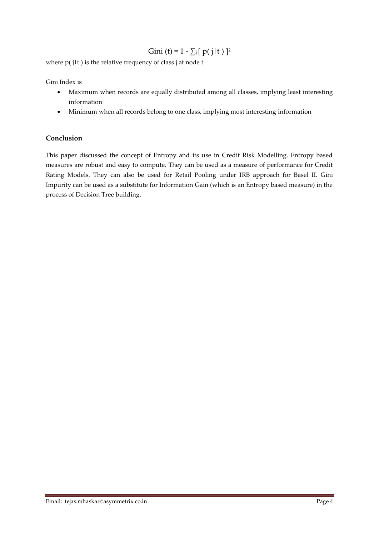# Gini (t) = 1 -  $\sum_{i} [p(i|t)]^2$

where  $p(j|t)$  is the relative frequency of class j at node t

Gini Index is

- Maximum when records are equally distributed among all classes, implying least interesting information
- Minimum when all records belong to one class, implying most interesting information

### **Conclusion**

This paper discussed the concept of Entropy and its use in Credit Risk Modelling. Entropy based measures are robust and easy to compute. They can be used as a measure of performance for Credit Rating Models. They can also be used for Retail Pooling under IRB approach for Basel II. Gini Impurity can be used as a substitute for Information Gain (which is an Entropy based measure) in the process of Decision Tree building.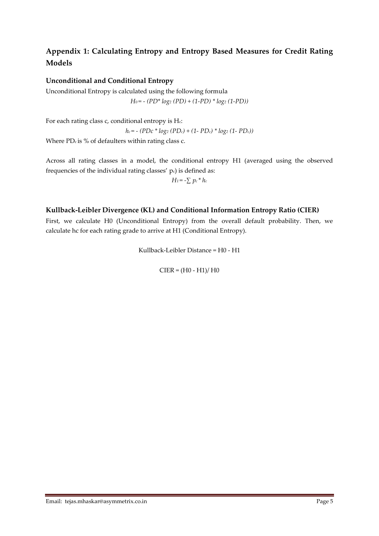# **Appendix 1: Calculating Entropy and Entropy Based Measures for Credit Rating Models**

## **Unconditional and Conditional Entropy**

Unconditional Entropy is calculated using the following formula *H0 = - (PD\* log<sup>2</sup> (PD) + (1-PD) \* log<sup>2</sup> (1-PD))*

For each rating class c, conditional entropy is Hc: *hc = - (PDc \* log<sup>2</sup> (PDc) + (1- PDc) \* log<sup>2</sup> (1- PDc))* Where  $PD<sub>c</sub>$  is % of defaulters within rating class c.

Across all rating classes in a model, the conditional entropy H1 (averaged using the observed frequencies of the individual rating classes' pc) is defined as:

$$
H_1 = -\sum p_c * h_c
$$

### **Kullback-Leibler Divergence (KL) and Conditional Information Entropy Ratio (CIER)**

First, we calculate H0 (Unconditional Entropy) from the overall default probability. Then, we calculate hc for each rating grade to arrive at H1 (Conditional Entropy).

Kullback-Leibler Distance = H0 - H1

 $CIER = (H0 - H1)/H0$